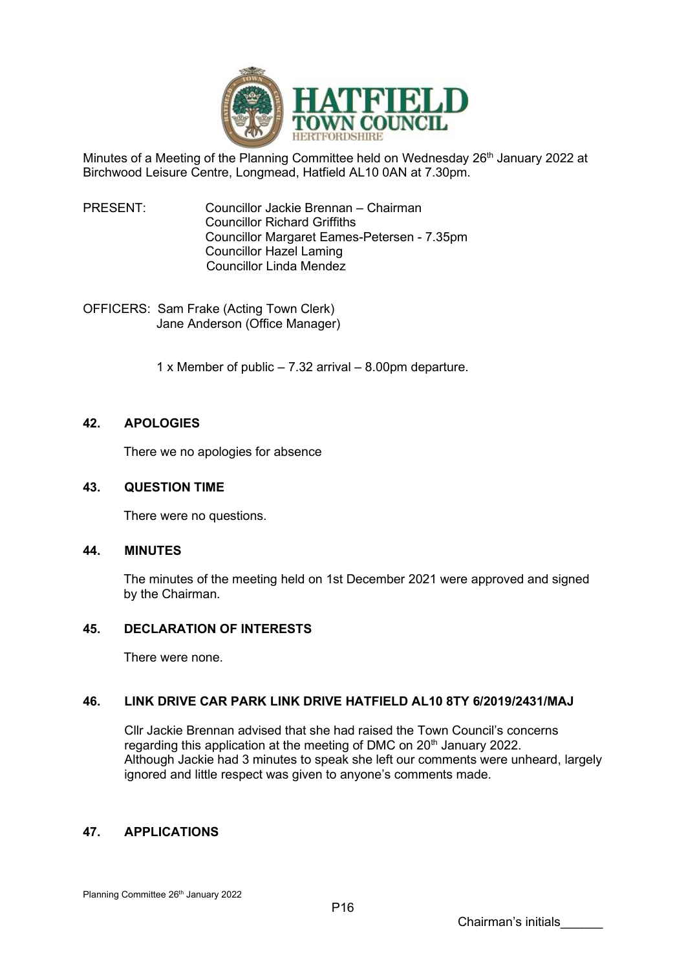

Minutes of a Meeting of the Planning Committee held on Wednesday 26<sup>th</sup> January 2022 at Birchwood Leisure Centre, Longmead, Hatfield AL10 0AN at 7.30pm.

PRESENT: Councillor Jackie Brennan – Chairman Councillor Richard Griffiths Councillor Margaret Eames-Petersen - 7.35pm Councillor Hazel Laming Councillor Linda Mendez

OFFICERS: Sam Frake (Acting Town Clerk) Jane Anderson (Office Manager)

1 x Member of public – 7.32 arrival – 8.00pm departure.

# **42. APOLOGIES**

There we no apologies for absence

### **43. QUESTION TIME**

There were no questions.

### **44. MINUTES**

The minutes of the meeting held on 1st December 2021 were approved and signed by the Chairman.

## **45. DECLARATION OF INTERESTS**

There were none.

## **46. LINK DRIVE CAR PARK LINK DRIVE HATFIELD AL10 8TY 6/2019/2431/MAJ**

Cllr Jackie Brennan advised that she had raised the Town Council's concerns regarding this application at the meeting of DMC on 20<sup>th</sup> January 2022. Although Jackie had 3 minutes to speak she left our comments were unheard, largely ignored and little respect was given to anyone's comments made.

### **47. APPLICATIONS**

Planning Committee 26<sup>th</sup> January 2022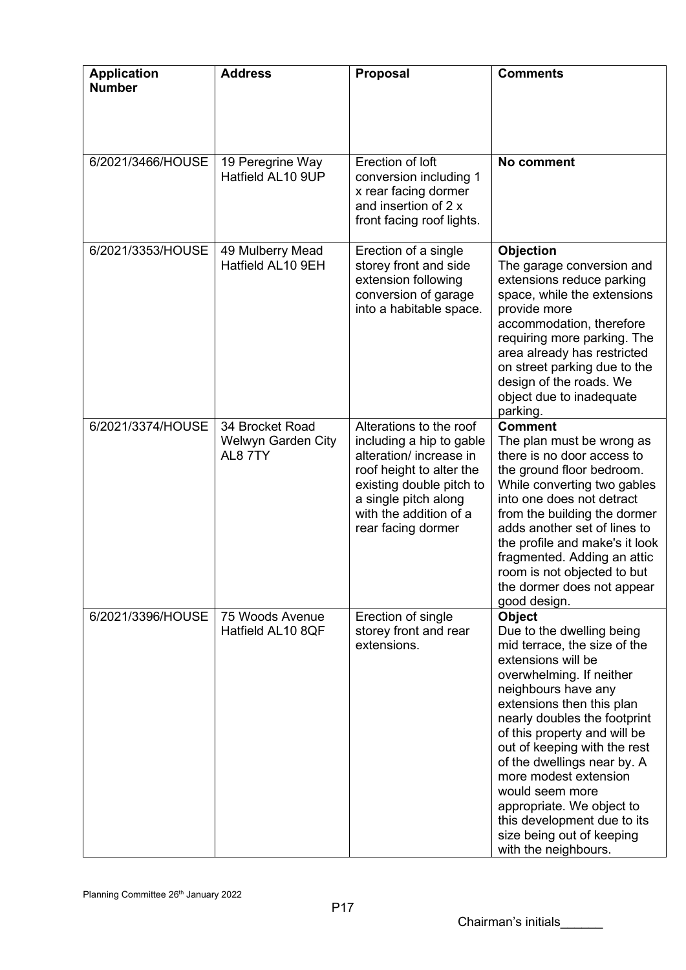| <b>Application</b><br><b>Number</b> | <b>Address</b>                                   | <b>Proposal</b>                                                                                                                                                                                                | <b>Comments</b>                                                                                                                                                                                                                                                                                                                                                                                                                                                              |
|-------------------------------------|--------------------------------------------------|----------------------------------------------------------------------------------------------------------------------------------------------------------------------------------------------------------------|------------------------------------------------------------------------------------------------------------------------------------------------------------------------------------------------------------------------------------------------------------------------------------------------------------------------------------------------------------------------------------------------------------------------------------------------------------------------------|
| 6/2021/3466/HOUSE                   | 19 Peregrine Way<br>Hatfield AL10 9UP            | Erection of loft<br>conversion including 1<br>x rear facing dormer<br>and insertion of 2 x<br>front facing roof lights.                                                                                        | No comment                                                                                                                                                                                                                                                                                                                                                                                                                                                                   |
| 6/2021/3353/HOUSE                   | 49 Mulberry Mead<br>Hatfield AL10 9EH            | Erection of a single<br>storey front and side<br>extension following<br>conversion of garage<br>into a habitable space.                                                                                        | Objection<br>The garage conversion and<br>extensions reduce parking<br>space, while the extensions<br>provide more<br>accommodation, therefore<br>requiring more parking. The<br>area already has restricted<br>on street parking due to the<br>design of the roads. We<br>object due to inadequate<br>parking.                                                                                                                                                              |
| 6/2021/3374/HOUSE                   | 34 Brocket Road<br>Welwyn Garden City<br>AL8 7TY | Alterations to the roof<br>including a hip to gable<br>alteration/ increase in<br>roof height to alter the<br>existing double pitch to<br>a single pitch along<br>with the addition of a<br>rear facing dormer | <b>Comment</b><br>The plan must be wrong as<br>there is no door access to<br>the ground floor bedroom.<br>While converting two gables<br>into one does not detract<br>from the building the dormer<br>adds another set of lines to<br>the profile and make's it look<br>fragmented. Adding an attic<br>room is not objected to but<br>the dormer does not appear<br>good design.                                                                                             |
| 6/2021/3396/HOUSE                   | 75 Woods Avenue<br>Hatfield AL10 8QF             | Erection of single<br>storey front and rear<br>extensions.                                                                                                                                                     | <b>Object</b><br>Due to the dwelling being<br>mid terrace, the size of the<br>extensions will be<br>overwhelming. If neither<br>neighbours have any<br>extensions then this plan<br>nearly doubles the footprint<br>of this property and will be<br>out of keeping with the rest<br>of the dwellings near by. A<br>more modest extension<br>would seem more<br>appropriate. We object to<br>this development due to its<br>size being out of keeping<br>with the neighbours. |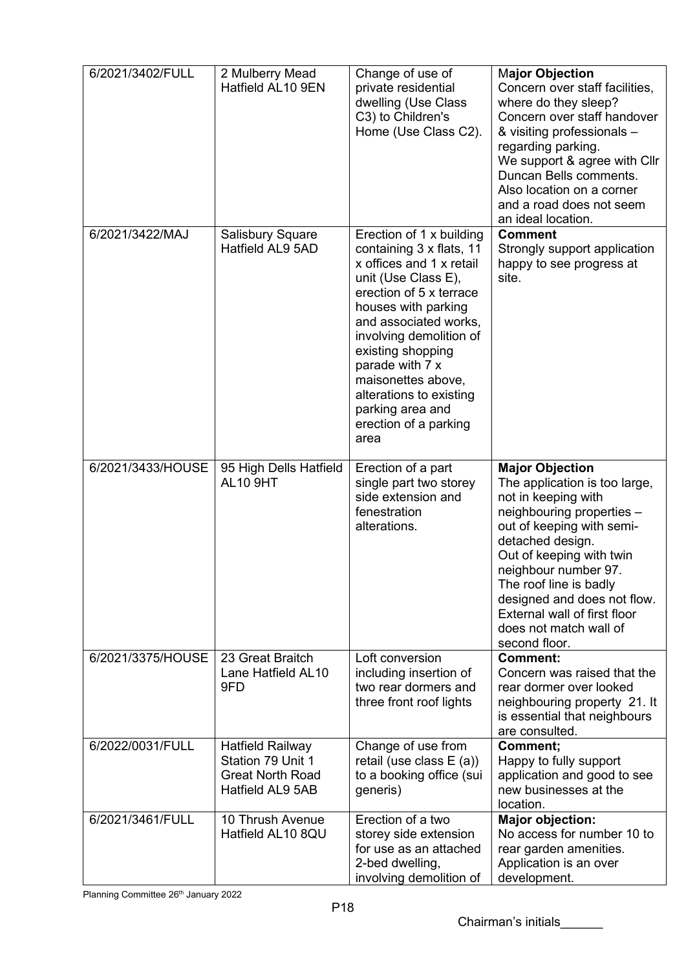| 6/2021/3402/FULL  | 2 Mulberry Mead<br>Hatfield AL10 9EN                                                        | Change of use of<br>private residential<br>dwelling (Use Class<br>C3) to Children's<br>Home (Use Class C2).                                                                                                                                                                                                                                                 | <b>Major Objection</b><br>Concern over staff facilities,<br>where do they sleep?<br>Concern over staff handover<br>& visiting professionals -<br>regarding parking.<br>We support & agree with Cllr<br>Duncan Bells comments.<br>Also location on a corner<br>and a road does not seem<br>an ideal location.                                         |
|-------------------|---------------------------------------------------------------------------------------------|-------------------------------------------------------------------------------------------------------------------------------------------------------------------------------------------------------------------------------------------------------------------------------------------------------------------------------------------------------------|------------------------------------------------------------------------------------------------------------------------------------------------------------------------------------------------------------------------------------------------------------------------------------------------------------------------------------------------------|
| 6/2021/3422/MAJ   | <b>Salisbury Square</b><br>Hatfield AL9 5AD                                                 | Erection of 1 x building<br>containing 3 x flats, 11<br>x offices and 1 x retail<br>unit (Use Class E),<br>erection of 5 x terrace<br>houses with parking<br>and associated works,<br>involving demolition of<br>existing shopping<br>parade with 7 x<br>maisonettes above,<br>alterations to existing<br>parking area and<br>erection of a parking<br>area | <b>Comment</b><br>Strongly support application<br>happy to see progress at<br>site.                                                                                                                                                                                                                                                                  |
| 6/2021/3433/HOUSE | 95 High Dells Hatfield<br><b>AL10 9HT</b>                                                   | Erection of a part<br>single part two storey<br>side extension and<br>fenestration<br>alterations.                                                                                                                                                                                                                                                          | <b>Major Objection</b><br>The application is too large,<br>not in keeping with<br>neighbouring properties -<br>out of keeping with semi-<br>detached design.<br>Out of keeping with twin<br>neighbour number 97.<br>The roof line is badly<br>designed and does not flow.<br>External wall of first floor<br>does not match wall of<br>second floor. |
| 6/2021/3375/HOUSE | 23 Great Braitch<br>Lane Hatfield AL10<br>9FD                                               | Loft conversion<br>including insertion of<br>two rear dormers and<br>three front roof lights                                                                                                                                                                                                                                                                | <b>Comment:</b><br>Concern was raised that the<br>rear dormer over looked<br>neighbouring property 21. It<br>is essential that neighbours<br>are consulted.                                                                                                                                                                                          |
| 6/2022/0031/FULL  | <b>Hatfield Railway</b><br>Station 79 Unit 1<br><b>Great North Road</b><br>Hatfield AL9 5AB | Change of use from<br>retail (use class $E(a)$ )<br>to a booking office (sui<br>generis)                                                                                                                                                                                                                                                                    | Comment;<br>Happy to fully support<br>application and good to see<br>new businesses at the<br>location.                                                                                                                                                                                                                                              |
| 6/2021/3461/FULL  | 10 Thrush Avenue<br>Hatfield AL10 8QU                                                       | Erection of a two<br>storey side extension<br>for use as an attached<br>2-bed dwelling,<br>involving demolition of                                                                                                                                                                                                                                          | <b>Major objection:</b><br>No access for number 10 to<br>rear garden amenities.<br>Application is an over<br>development.                                                                                                                                                                                                                            |

Planning Committee 26<sup>th</sup> January 2022